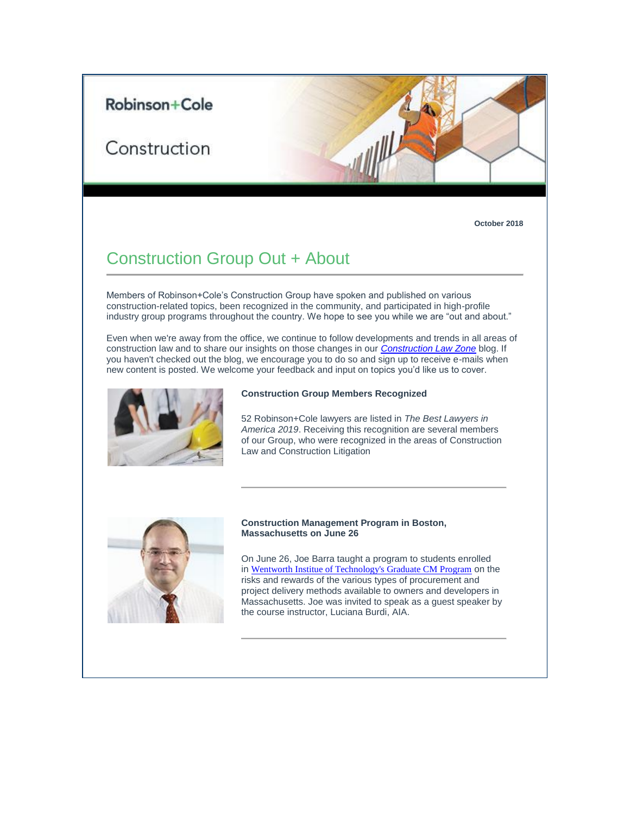## Robinson+Cole

# Construction

**October 2018**

# Construction Group Out + About

Members of Robinson+Cole's Construction Group have spoken and published on various construction-related topics, been recognized in the community, and participated in high-profile industry group programs throughout the country. We hope to see you while we are "out and about."

Even when we're away from the office, we continue to follow developments and trends in all areas of construction law and to share our insights on those changes in our *[Construction Law Zone](https://protect-us.mimecast.com/s/CeoECxky0mC1xYlPuovTOC?domain=t2806904.omkt.co)* blog. If you haven't checked out the blog, we encourage you to do so and sign up to receive e-mails when new content is posted. We welcome your feedback and input on topics you'd like us to cover.



#### **Construction Group Members Recognized**

52 Robinson+Cole lawyers are listed in *The Best Lawyers in America 2019*. Receiving this recognition are several members of our Group, who were recognized in the areas of Construction Law and Construction Litigation



#### **Construction Management Program in Boston, Massachusetts on June 26**

On June 26, Joe Barra taught a program to students enrolled in [Wentworth Institue of Technology's Graduate CM Program](https://protect-us.mimecast.com/s/ruthCXDPGRfXOwQkfDBpNn?domain=wit.edu) on the risks and rewards of the various types of procurement and project delivery methods available to owners and developers in Massachusetts. Joe was invited to speak as a guest speaker by the course instructor, Luciana Burdi, AIA.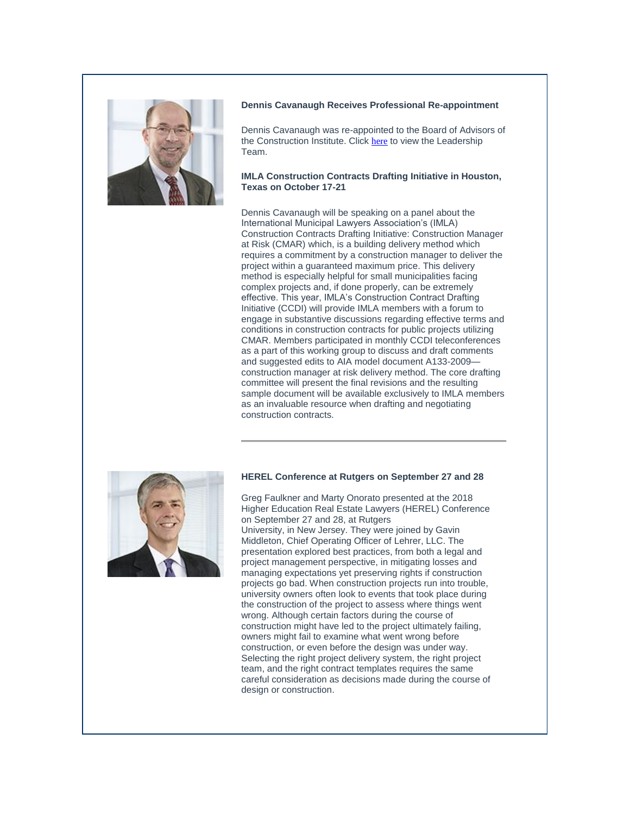

#### **Dennis Cavanaugh Receives Professional Re-appointment**

Dennis Cavanaugh was re-appointed to the Board of Advisors of the Construction Institute. Click [here](https://protect-us.mimecast.com/s/eHzOCYEZJRfLAr7jHVASYy?domain=construction.org) to view the Leadership Team.

### **IMLA Construction Contracts Drafting Initiative in Houston, Texas on October 17-21**

Dennis Cavanaugh will be speaking on a panel about the International Municipal Lawyers Association's (IMLA) Construction Contracts Drafting Initiative: Construction Manager at Risk (CMAR) which, is a building delivery method which requires a commitment by a construction manager to deliver the project within a guaranteed maximum price. This delivery method is especially helpful for small municipalities facing complex projects and, if done properly, can be extremely effective. This year, IMLA's Construction Contract Drafting Initiative (CCDI) will provide IMLA members with a forum to engage in substantive discussions regarding effective terms and conditions in construction contracts for public projects utilizing CMAR. Members participated in monthly CCDI teleconferences as a part of this working group to discuss and draft comments and suggested edits to AIA model document A133-2009 construction manager at risk delivery method. The core drafting committee will present the final revisions and the resulting sample document will be available exclusively to IMLA members as an invaluable resource when drafting and negotiating construction contracts.



#### **HEREL Conference at Rutgers on September 27 and 28**

Greg Faulkner and Marty Onorato presented at the 2018 Higher Education Real Estate Lawyers (HEREL) Conference on September 27 and 28, at Rutgers University, in New Jersey. They were joined by Gavin Middleton, Chief Operating Officer of Lehrer, LLC. The presentation explored best practices, from both a legal and project management perspective, in mitigating losses and managing expectations yet preserving rights if construction projects go bad. When construction projects run into trouble, university owners often look to events that took place during the construction of the project to assess where things went wrong. Although certain factors during the course of construction might have led to the project ultimately failing, owners might fail to examine what went wrong before construction, or even before the design was under way. Selecting the right project delivery system, the right project team, and the right contract templates requires the same careful consideration as decisions made during the course of design or construction.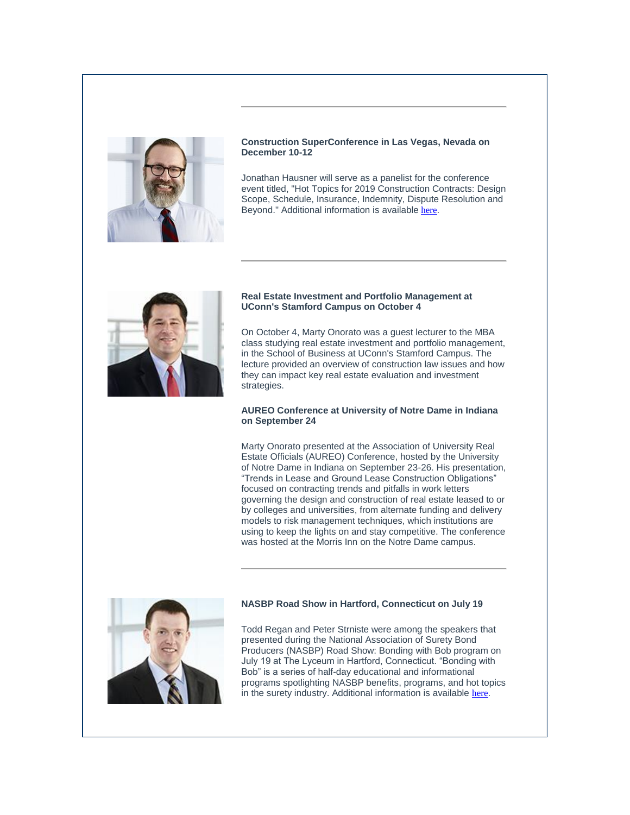

### **Construction SuperConference in Las Vegas, Nevada on December 10-12**

Jonathan Hausner will serve as a panelist for the conference event titled, "Hot Topics for 2019 Construction Contracts: Design Scope, Schedule, Insurance, Indemnity, Dispute Resolution and Beyond." Additional information is available [here](https://protect-us.mimecast.com/s/F1soCZ6gKRf5QJ6XcxGSML?domain=csc.a2zinc.net).



#### **Real Estate Investment and Portfolio Management at UConn's Stamford Campus on October 4**

On October 4, Marty Onorato was a guest lecturer to the MBA class studying real estate investment and portfolio management, in the School of Business at UConn's Stamford Campus. The lecture provided an overview of construction law issues and how they can impact key real estate evaluation and investment strategies.

### **AUREO Conference at University of Notre Dame in Indiana on September 24**

Marty Onorato presented at the Association of University Real Estate Officials (AUREO) Conference, hosted by the University of Notre Dame in Indiana on September 23-26. His presentation, "Trends in Lease and Ground Lease Construction Obligations" focused on contracting trends and pitfalls in work letters governing the design and construction of real estate leased to or by colleges and universities, from alternate funding and delivery models to risk management techniques, which institutions are using to keep the lights on and stay competitive. The conference was hosted at the Morris Inn on the Notre Dame campus.



## **NASBP Road Show in Hartford, Connecticut on July 19**

Todd Regan and Peter Strniste were among the speakers that presented during the National Association of Surety Bond Producers (NASBP) Road Show: Bonding with Bob program on July 19 at The Lyceum in Hartford, Connecticut. "Bonding with Bob" is a series of half-day educational and informational programs spotlighting NASBP benefits, programs, and hot topics in the surety industry. Additional information is available [here](https://protect-us.mimecast.com/s/WLnbC1wMoDHMqV4Lh1cTi4?domain=rc.com).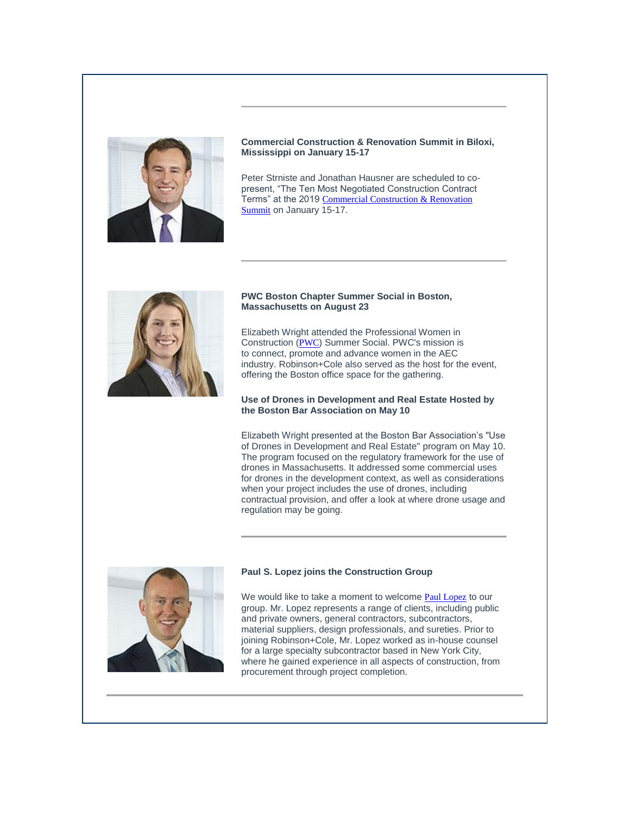

## **Commercial Construction & Renovation Summit in Biloxi, Mississippi on January 15-17**

Peter Strniste and Jonathan Hausner are scheduled to copresent, "The Ten Most Negotiated Construction Contract Terms" at the 2019 Commercial Construction & Renovation [Summit](https://protect-us.mimecast.com/s/9xqgC2kXpECp8MY0IXB-76?domain=ccr-mag.com) on January 15-17.



#### **PWC Boston Chapter Summer Social in Boston, Massachusetts on August 23**

Elizabeth Wright attended the Professional Women in Construction ([PWC](https://protect-us.mimecast.com/s/H7XWC313qGhp2nkWIE9sAd?domain=pwcusa.org)) Summer Social. PWC's mission is to connect, promote and advance women in the AEC industry. Robinson+Cole also served as the host for the event, offering the Boston office space for the gathering.

## **Use of Drones in Development and Real Estate Hosted by the Boston Bar Association on May 10**

Elizabeth Wright presented at the Boston Bar Association's "Use of Drones in Development and Real Estate" program on May 10. The program focused on the regulatory framework for the use of drones in Massachusetts. It addressed some commercial uses for drones in the development context, as well as considerations when your project includes the use of drones, including contractual provision, and offer a look at where drone usage and regulation may be going.



## **Paul S. Lopez joins the Construction Group**

We would like to take a moment to welcome [Paul Lopez](https://protect-us.mimecast.com/s/NJyPC4x2rJiBlXVRh33MLm?domain=rc.com) to our group. Mr. Lopez represents a range of clients, including public and private owners, general contractors, subcontractors, material suppliers, design professionals, and sureties. Prior to joining Robinson+Cole, Mr. Lopez worked as in-house counsel for a large specialty subcontractor based in New York City, where he gained experience in all aspects of construction, from procurement through project completion.